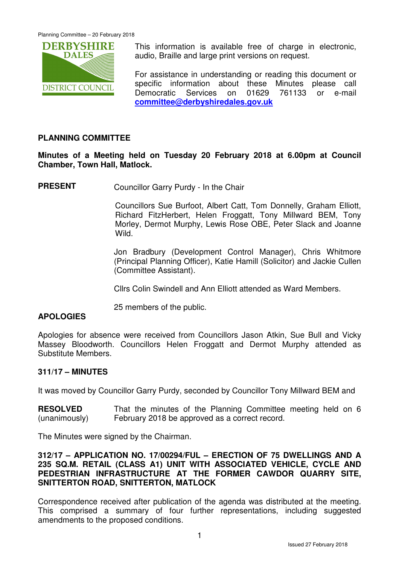

This information is available free of charge in electronic, audio, Braille and large print versions on request.

For assistance in understanding or reading this document or specific information about these Minutes please call Democratic Services on 01629 761133 or e-mail **committee@derbyshiredales.gov.uk**

# **PLANNING COMMITTEE**

**Minutes of a Meeting held on Tuesday 20 February 2018 at 6.00pm at Council Chamber, Town Hall, Matlock.** 

**PRESENT** Councillor Garry Purdy - In the Chair

 Councillors Sue Burfoot, Albert Catt, Tom Donnelly, Graham Elliott, Richard FitzHerbert, Helen Froggatt, Tony Millward BEM, Tony Morley, Dermot Murphy, Lewis Rose OBE, Peter Slack and Joanne Wild.

Jon Bradbury (Development Control Manager), Chris Whitmore (Principal Planning Officer), Katie Hamill (Solicitor) and Jackie Cullen (Committee Assistant).

Cllrs Colin Swindell and Ann Elliott attended as Ward Members.

25 members of the public.

# **APOLOGIES**

Apologies for absence were received from Councillors Jason Atkin, Sue Bull and Vicky Massey Bloodworth. Councillors Helen Froggatt and Dermot Murphy attended as Substitute Members.

# **311/17 – MINUTES**

It was moved by Councillor Garry Purdy, seconded by Councillor Tony Millward BEM and

**RESOLVED** (unanimously) That the minutes of the Planning Committee meeting held on 6 February 2018 be approved as a correct record.

The Minutes were signed by the Chairman.

## **312/17 – APPLICATION NO. 17/00294/FUL – ERECTION OF 75 DWELLINGS AND A 235 SQ.M. RETAIL (CLASS A1) UNIT WITH ASSOCIATED VEHICLE, CYCLE AND PEDESTRIAN INFRASTRUCTURE AT THE FORMER CAWDOR QUARRY SITE, SNITTERTON ROAD, SNITTERTON, MATLOCK**

Correspondence received after publication of the agenda was distributed at the meeting. This comprised a summary of four further representations, including suggested amendments to the proposed conditions.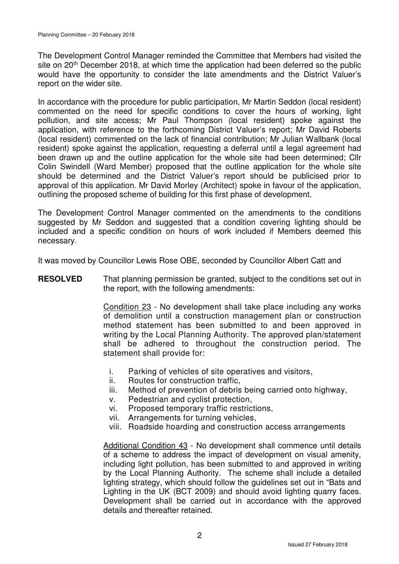The Development Control Manager reminded the Committee that Members had visited the site on 20<sup>th</sup> December 2018, at which time the application had been deferred so the public would have the opportunity to consider the late amendments and the District Valuer's report on the wider site.

In accordance with the procedure for public participation, Mr Martin Seddon (local resident) commented on the need for specific conditions to cover the hours of working, light pollution, and site access; Mr Paul Thompson (local resident) spoke against the application, with reference to the forthcoming District Valuer's report; Mr David Roberts (local resident) commented on the lack of financial contribution; Mr Julian Wallbank (local resident) spoke against the application, requesting a deferral until a legal agreement had been drawn up and the outline application for the whole site had been determined; Cllr Colin Swindell (Ward Member) proposed that the outline application for the whole site should be determined and the District Valuer's report should be publicised prior to approval of this application. Mr David Morley (Architect) spoke in favour of the application, outlining the proposed scheme of building for this first phase of development.

The Development Control Manager commented on the amendments to the conditions suggested by Mr Seddon and suggested that a condition covering lighting should be included and a specific condition on hours of work included if Members deemed this necessary.

It was moved by Councillor Lewis Rose OBE, seconded by Councillor Albert Catt and

**RESOLVED** That planning permission be granted, subject to the conditions set out in the report, with the following amendments:

> Condition 23 - No development shall take place including any works of demolition until a construction management plan or construction method statement has been submitted to and been approved in writing by the Local Planning Authority. The approved plan/statement shall be adhered to throughout the construction period. The statement shall provide for:

- i. Parking of vehicles of site operatives and visitors,
- ii. Routes for construction traffic,
- iii. Method of prevention of debris being carried onto highway,
- v. Pedestrian and cyclist protection,
- vi. Proposed temporary traffic restrictions,
- vii. Arrangements for turning vehicles,
- viii. Roadside hoarding and construction access arrangements

Additional Condition 43 - No development shall commence until details of a scheme to address the impact of development on visual amenity, including light pollution, has been submitted to and approved in writing by the Local Planning Authority. The scheme shall include a detailed lighting strategy, which should follow the guidelines set out in "Bats and Lighting in the UK (BCT 2009) and should avoid lighting quarry faces. Development shall be carried out in accordance with the approved details and thereafter retained.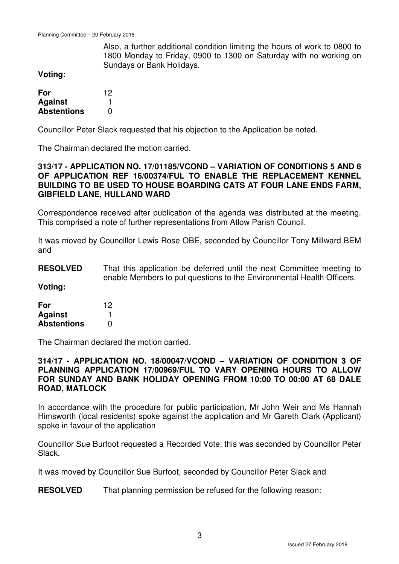Also, a further additional condition limiting the hours of work to 0800 to 1800 Monday to Friday, 0900 to 1300 on Saturday with no working on Sundays or Bank Holidays.

**Voting:** 

| For                | 12 |
|--------------------|----|
| <b>Against</b>     |    |
| <b>Abstentions</b> | O  |

Councillor Peter Slack requested that his objection to the Application be noted.

The Chairman declared the motion carried.

#### **313/17 - APPLICATION NO. 17/01185/VCOND – VARIATION OF CONDITIONS 5 AND 6 OF APPLICATION REF 16/00374/FUL TO ENABLE THE REPLACEMENT KENNEL BUILDING TO BE USED TO HOUSE BOARDING CATS AT FOUR LANE ENDS FARM, GIBFIELD LANE, HULLAND WARD**

Correspondence received after publication of the agenda was distributed at the meeting. This comprised a note of further representations from Atlow Parish Council.

It was moved by Councillor Lewis Rose OBE, seconded by Councillor Tony Millward BEM and

#### **RESOLVED** That this application be deferred until the next Committee meeting to enable Members to put questions to the Environmental Health Officers.

**Voting:** 

| For                | 12 |
|--------------------|----|
| <b>Against</b>     |    |
| <b>Abstentions</b> | O  |

The Chairman declared the motion carried.

#### **314/17 - APPLICATION NO. 18/00047/VCOND – VARIATION OF CONDITION 3 OF PLANNING APPLICATION 17/00969/FUL TO VARY OPENING HOURS TO ALLOW FOR SUNDAY AND BANK HOLIDAY OPENING FROM 10:00 TO 00:00 AT 68 DALE ROAD, MATLOCK**

In accordance with the procedure for public participation, Mr John Weir and Ms Hannah Himsworth (local residents) spoke against the application and Mr Gareth Clark (Applicant) spoke in favour of the application

Councillor Sue Burfoot requested a Recorded Vote; this was seconded by Councillor Peter Slack.

It was moved by Councillor Sue Burfoot, seconded by Councillor Peter Slack and

**RESOLVED** That planning permission be refused for the following reason: